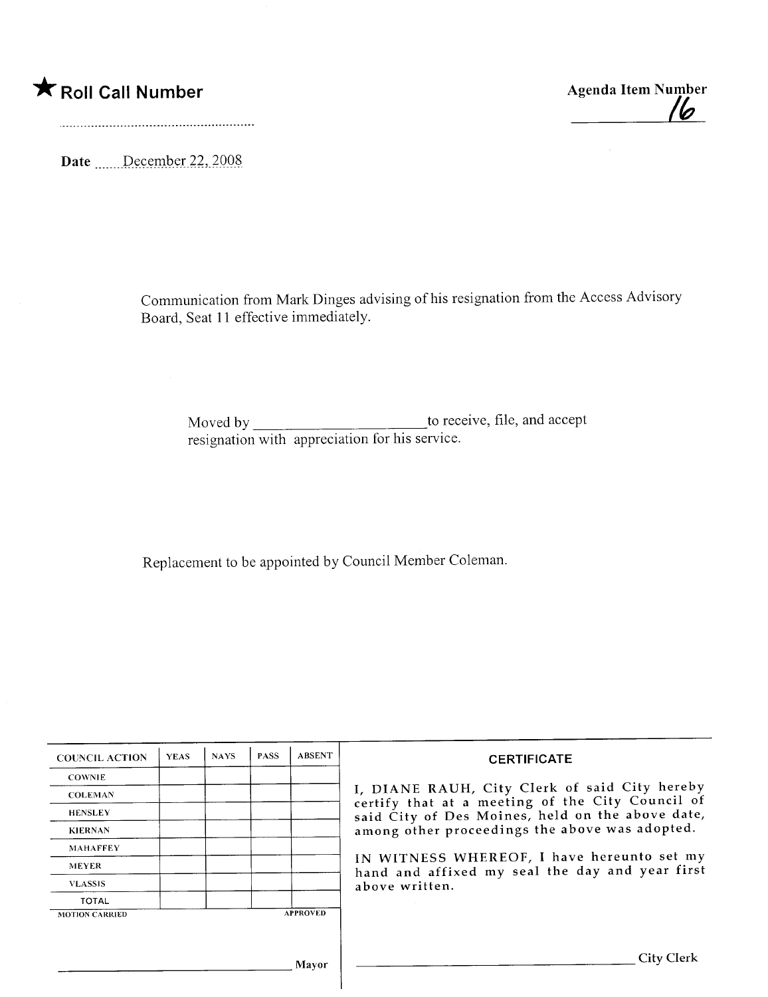## \* Roll Call Number Agenda Item Number

Date \_\_\_\_\_\_December 22, 2008

Communication from Mark Dinges advising of his resignation from the Access Advisory Board, Seat 11 effective immediately.

Moved by to receive, file, and accept resignation with appreciation for his service.

Replacement to be appointed by Council Member Coleman.

| <b>COUNCIL ACTION</b> | <b>YEAS</b> | <b>NAYS</b> | <b>PASS</b> | <b>ABSENT</b>   | <b>CERTIFICATE</b>                                                                                                                                                                                      |
|-----------------------|-------------|-------------|-------------|-----------------|---------------------------------------------------------------------------------------------------------------------------------------------------------------------------------------------------------|
| <b>COWNIE</b>         |             |             |             |                 |                                                                                                                                                                                                         |
| <b>COLEMAN</b>        |             |             |             |                 | I, DIANE RAUH, City Clerk of said City hereby<br>certify that at a meeting of the City Council of<br>said City of Des Moines, held on the above date,<br>among other proceedings the above was adopted. |
| <b>HENSLEY</b>        |             |             |             |                 |                                                                                                                                                                                                         |
| <b>KIERNAN</b>        |             |             |             |                 |                                                                                                                                                                                                         |
| <b>MAHAFFEY</b>       |             |             |             |                 |                                                                                                                                                                                                         |
| <b>MEYER</b>          |             |             |             |                 | IN WITNESS WHEREOF, I have hereunto set my<br>hand and affixed my seal the day and year first<br>above written.                                                                                         |
| <b>VLASSIS</b>        |             |             |             |                 |                                                                                                                                                                                                         |
| <b>TOTAL</b>          |             |             |             |                 |                                                                                                                                                                                                         |
| <b>MOTION CARRIED</b> |             |             |             | <b>APPROVED</b> |                                                                                                                                                                                                         |
|                       |             |             |             |                 |                                                                                                                                                                                                         |
|                       |             |             |             | Mayor           | City Clerk                                                                                                                                                                                              |

Ih